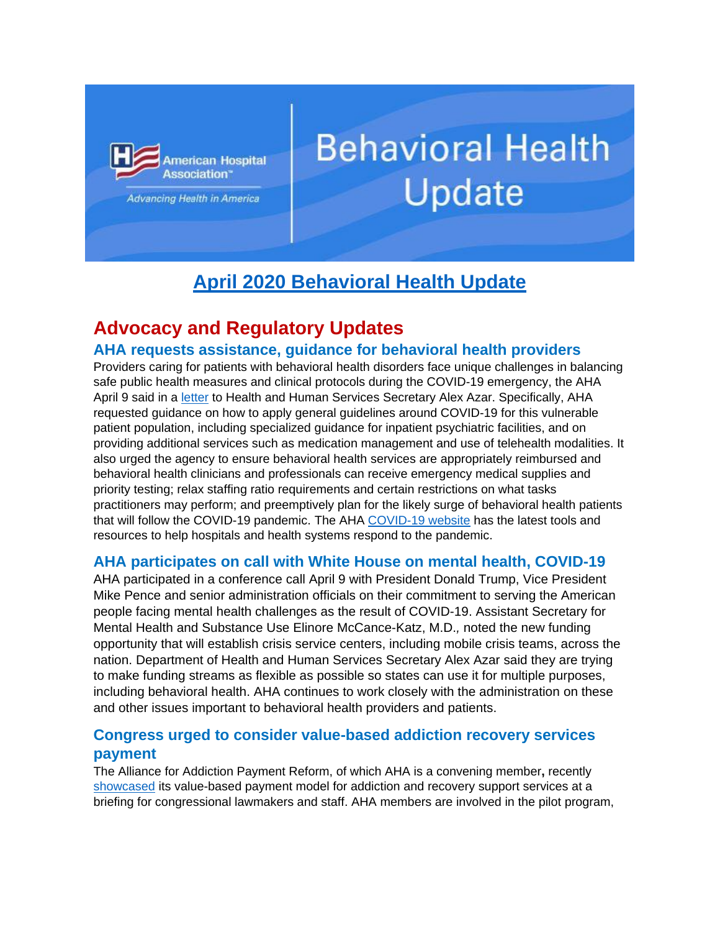

Advancing Health in America

# **Behavioral Health** Update

## **April 2020 Behavioral Health Update**

## **Advocacy and Regulatory Updates**

## **AHA requests assistance, guidance for behavioral health providers**

Providers caring for patients with behavioral health disorders face unique challenges in balancing safe public health measures and clinical protocols during the COVID-19 emergency, the AHA April 9 said in a [letter](https://nam03.safelinks.protection.outlook.com/?url=http:%2F%2Fwww.mmsend33.com%2Flink.cfm%3Fr%3D0wcfVv1hM69O4HOqcPStJg~~%26pe%3DgGmJnSC_myPYZJLjndrxQ7R5qNohYAh5ziIT7PU_AHJM4TL-mIQ7oKLtxE1h4RynkgNTUPdOwi7qJcRYOGPMzw~~%26t%3D7oEYv1tppwz5K_C-bTJ9eA~~&data=02%7C01%7Crchickey%40aha.org%7Cc480a759c4c14c1f91f308d7e572f2d4%7Cb9119340beb74e5e84b23cc18f7b36a6%7C0%7C0%7C637230154178270764&sdata=XrD2pJ3V7RM77fIa3y%2Bm%2BDFS%2BJI3fPLjP2wbvTwJOOE%3D&reserved=0) to Health and Human Services Secretary Alex Azar. Specifically, AHA requested guidance on how to apply general guidelines around COVID-19 for this vulnerable patient population, including specialized guidance for inpatient psychiatric facilities, and on providing additional services such as medication management and use of telehealth modalities. It also urged the agency to ensure behavioral health services are appropriately reimbursed and behavioral health clinicians and professionals can receive emergency medical supplies and priority testing; relax staffing ratio requirements and certain restrictions on what tasks practitioners may perform; and preemptively plan for the likely surge of behavioral health patients that will follow the COVID-19 pandemic. The AHA [COVID-19 website](https://nam03.safelinks.protection.outlook.com/?url=http:%2F%2Fwww.mmsend33.com%2Flink.cfm%3Fr%3D0wcfVv1hM69O4HOqcPStJg~~%26pe%3DW0BMV7RG2yioPnWlBKueCmC_vKA1t6SfWzLyfQUUn8NOf0SK2qbiiq12_g1qgm3QyZ6omQpNhf9tL_jiAThbXQ~~%26t%3D7oEYv1tppwz5K_C-bTJ9eA~~&data=02%7C01%7Crchickey%40aha.org%7Cc480a759c4c14c1f91f308d7e572f2d4%7Cb9119340beb74e5e84b23cc18f7b36a6%7C0%7C0%7C637230154178270764&sdata=pjAKOEYZTFdOm9IuBf56W2CIU99iN3KAVb8Uihgc5ps%3D&reserved=0) has the latest tools and resources to help hospitals and health systems respond to the pandemic.

## **AHA participates on call with White House on mental health, COVID-19**

AHA participated in a conference call April 9 with President Donald Trump, Vice President Mike Pence and senior administration officials on their commitment to serving the American people facing mental health challenges as the result of COVID-19. Assistant Secretary for Mental Health and Substance Use Elinore McCance-Katz, M.D.*,* noted the new funding opportunity that will establish crisis service centers, including mobile crisis teams, across the nation. Department of Health and Human Services Secretary Alex Azar said they are trying to make funding streams as flexible as possible so states can use it for multiple purposes, including behavioral health. AHA continues to work closely with the administration on these and other issues important to behavioral health providers and patients.

## **Congress urged to consider value-based addiction recovery services payment**

The Alliance for Addiction Payment Reform, of which AHA is a convening member**,** recently [showcased](https://nam03.safelinks.protection.outlook.com/?url=http:%2F%2Fwww.mmsend33.com%2Flink.cfm%3Fr%3D0wcfVv1hM69O4HOqcPStJg~~%26pe%3DFo09soXYkFAOIzzXrkwXkpfw6wqO29UH9cxUkYyxLjQD-go4qGf7m_HHG1Wv9bBV94uuTJjIzp5B8VHnY9Bk1Q~~%26t%3D7oEYv1tppwz5K_C-bTJ9eA~~&data=02%7C01%7Crchickey%40aha.org%7Cc480a759c4c14c1f91f308d7e572f2d4%7Cb9119340beb74e5e84b23cc18f7b36a6%7C0%7C0%7C637230154178280760&sdata=BQxyQ3seJl9k%2B13CuyChvEfBAvG5Zahn9FiptzuO9Bc%3D&reserved=0) its value-based payment model for addiction and recovery support services at a briefing for congressional lawmakers and staff. AHA members are involved in the pilot program,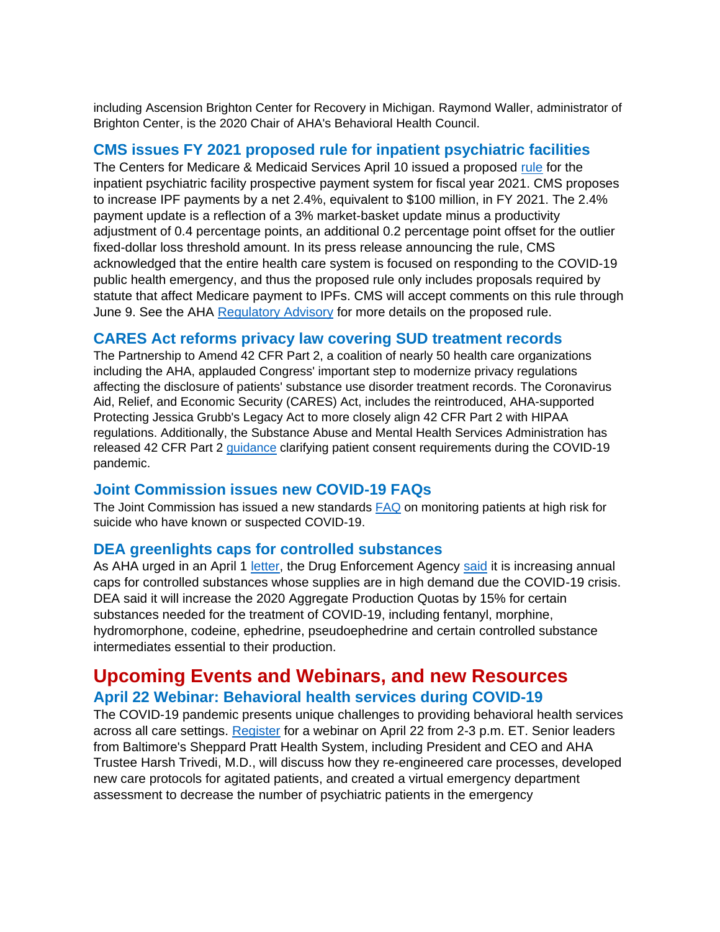including Ascension Brighton Center for Recovery in Michigan. Raymond Waller, administrator of Brighton Center, is the 2020 Chair of AHA's Behavioral Health Council.

#### **CMS issues FY 2021 proposed rule for inpatient psychiatric facilities**

The Centers for Medicare & Medicaid Services April 10 issued a proposed [rule](https://nam03.safelinks.protection.outlook.com/?url=http:%2F%2Fwww.mmsend33.com%2Flink.cfm%3Fr%3D0wcfVv1hM69O4HOqcPStJg~~%26pe%3DFMHVeOQvFbSQBdhvcbAe6e6cdlqWASbjjkFanp2upBgD2vKmloD9ZcL_lJWg2GAtDXfb3XRlNyFdVLmC6DViHg~~%26t%3D7oEYv1tppwz5K_C-bTJ9eA~~&data=02%7C01%7Crchickey%40aha.org%7Cc480a759c4c14c1f91f308d7e572f2d4%7Cb9119340beb74e5e84b23cc18f7b36a6%7C0%7C0%7C637230154178280760&sdata=yM98ed3Ssjomy%2FJTG0o85Jurs3r9o8IjdHiJuwBGcJs%3D&reserved=0) for the inpatient psychiatric facility prospective payment system for fiscal year 2021. CMS proposes to increase IPF payments by a net 2.4%, equivalent to \$100 million, in FY 2021. The 2.4% payment update is a reflection of a 3% market-basket update minus a productivity adjustment of 0.4 percentage points, an additional 0.2 percentage point offset for the outlier fixed-dollar loss threshold amount. In its press release announcing the rule, CMS acknowledged that the entire health care system is focused on responding to the COVID-19 public health emergency, and thus the proposed rule only includes proposals required by statute that affect Medicare payment to IPFs. CMS will accept comments on this rule through June 9. See the AHA [Regulatory Advisory](https://nam03.safelinks.protection.outlook.com/?url=http:%2F%2Fwww.mmsend33.com%2Flink.cfm%3Fr%3D0wcfVv1hM69O4HOqcPStJg~~%26pe%3D_38SCed9IN_N4T6tllXbZuXUK_UxmVk9NHGTNUE5flHvTKKd4CGRj3XLd6iCoQLAeL8po7ZXYk_MbQcVIAqMPA~~%26t%3D7oEYv1tppwz5K_C-bTJ9eA~~&data=02%7C01%7Crchickey%40aha.org%7Cc480a759c4c14c1f91f308d7e572f2d4%7Cb9119340beb74e5e84b23cc18f7b36a6%7C0%7C0%7C637230154178280760&sdata=Uv6updcLgnUCI0mG%2FjV55DDGU2FI8QRWykAseVFs5VA%3D&reserved=0) for more details on the proposed rule.

## **CARES Act reforms privacy law covering SUD treatment records**

The Partnership to Amend 42 CFR Part 2, a coalition of nearly 50 health care organizations including the AHA, applauded Congress' important step to modernize privacy regulations affecting the disclosure of patients' substance use disorder treatment records. The Coronavirus Aid, Relief, and Economic Security (CARES) Act, includes the reintroduced, AHA-supported Protecting Jessica Grubb's Legacy Act to more closely align 42 CFR Part 2 with HIPAA regulations. Additionally, the Substance Abuse and Mental Health Services Administration has released 42 CFR Part 2 [guidance](https://nam03.safelinks.protection.outlook.com/?url=http:%2F%2Fwww.mmsend33.com%2Flink.cfm%3Fr%3D0wcfVv1hM69O4HOqcPStJg~~%26pe%3DvezLf7aXcG_5r_3Ab-mFSTcKPcKKZXeDKv_zVRJADfNcz8wRJX93lxOOJJaPS9crwbjR30DRVxYQDxyg_oTQtQ~~%26t%3D7oEYv1tppwz5K_C-bTJ9eA~~&data=02%7C01%7Crchickey%40aha.org%7Cc480a759c4c14c1f91f308d7e572f2d4%7Cb9119340beb74e5e84b23cc18f7b36a6%7C0%7C0%7C637230154178290749&sdata=9JRRuTruFjTnrcGXTFmeppYTgeNVmGJ7TkCCEmdK1mo%3D&reserved=0) clarifying patient consent requirements during the COVID-19 pandemic.

#### **Joint Commission issues new COVID-19 FAQs**

The Joint Commission has issued a new standards [FAQ](https://nam03.safelinks.protection.outlook.com/?url=http:%2F%2Fwww.mmsend33.com%2Flink.cfm%3Fr%3D0wcfVv1hM69O4HOqcPStJg~~%26pe%3DRjtsREXW9q3p8101Jv-3MPjAwABZUcQQlKf64VNCb8KekVLMxc8tEDsZhKyrMeKzfZDzpmGyRNyeGXzzxZHUtA~~%26t%3D7oEYv1tppwz5K_C-bTJ9eA~~&data=02%7C01%7Crchickey%40aha.org%7Cc480a759c4c14c1f91f308d7e572f2d4%7Cb9119340beb74e5e84b23cc18f7b36a6%7C0%7C0%7C637230154178290749&sdata=i4eMSjOR3Af41dgkRnw9ZrAmqS0JKBFxyhMx7G0SgmY%3D&reserved=0) on monitoring patients at high risk for suicide who have known or suspected COVID-19.

## **DEA greenlights caps for controlled substances**

As AHA urged in an April 1 [letter,](https://nam03.safelinks.protection.outlook.com/?url=http:%2F%2Fwww.mmsend33.com%2Flink.cfm%3Fr%3D0wcfVv1hM69O4HOqcPStJg~~%26pe%3DlfVaoNYL_L5dS5DzL8np6962sJp4pQedz0DiMEfHcl9dsAq1xEyI_fQAsAjie53NIyMteyxcZwMkSHiG16bvwA~~%26t%3D7oEYv1tppwz5K_C-bTJ9eA~~&data=02%7C01%7Crchickey%40aha.org%7Cc480a759c4c14c1f91f308d7e572f2d4%7Cb9119340beb74e5e84b23cc18f7b36a6%7C0%7C0%7C637230154178300748&sdata=3UVNH5AsfAn1QvoBBxoBgfEn53y1vw%2Fb7TE3t8tPptA%3D&reserved=0) the Drug Enforcement Agency [said](https://nam03.safelinks.protection.outlook.com/?url=http:%2F%2Fwww.mmsend33.com%2Flink.cfm%3Fr%3D0wcfVv1hM69O4HOqcPStJg~~%26pe%3D3MduwNBtMDPHyjULiIwB-pFJaRGz3veCc74bytoQNMengUrZlHXacy3OrhgSfP2WJgItqqAt2EcXSYxcvAz66A~~%26t%3D7oEYv1tppwz5K_C-bTJ9eA~~&data=02%7C01%7Crchickey%40aha.org%7Cc480a759c4c14c1f91f308d7e572f2d4%7Cb9119340beb74e5e84b23cc18f7b36a6%7C0%7C0%7C637230154178300748&sdata=Nco1XuWfzphz0nqMflXcdElERY1nQq%2FA9oLZ9u9yt7M%3D&reserved=0) it is increasing annual caps for controlled substances whose supplies are in high demand due the COVID-19 crisis. DEA said it will increase the 2020 Aggregate Production Quotas by 15% for certain substances needed for the treatment of COVID-19, including fentanyl, morphine, hydromorphone, codeine, ephedrine, pseudoephedrine and certain controlled substance intermediates essential to their production.

## **Upcoming Events and Webinars, and new Resources April 22 Webinar: Behavioral health services during COVID-19**

The COVID-19 pandemic presents unique challenges to providing behavioral health services across all care settings. [Register](https://nam03.safelinks.protection.outlook.com/?url=http:%2F%2Fwww.mmsend33.com%2Flink.cfm%3Fr%3D0wcfVv1hM69O4HOqcPStJg~~%26pe%3D46wM9d7NH_hYGqZQYkAgH39sNMFGvtKVjsWiOaNmWt6eTYl38Fq-RhhupvP3WYM4ekBlQoN3wIrDgGTJZua8QQ~~%26t%3D7oEYv1tppwz5K_C-bTJ9eA~~&data=02%7C01%7Crchickey%40aha.org%7Cc480a759c4c14c1f91f308d7e572f2d4%7Cb9119340beb74e5e84b23cc18f7b36a6%7C0%7C0%7C637230154178310740&sdata=E5Ow4wVau%2FjiCxYG%2B%2FOgfgqz03s9Q1wMGOJVssH0i0k%3D&reserved=0) for a webinar on April 22 from 2-3 p.m. ET. Senior leaders from Baltimore's Sheppard Pratt Health System, including President and CEO and AHA Trustee Harsh Trivedi, M.D., will discuss how they re-engineered care processes, developed new care protocols for agitated patients, and created a virtual emergency department assessment to decrease the number of psychiatric patients in the emergency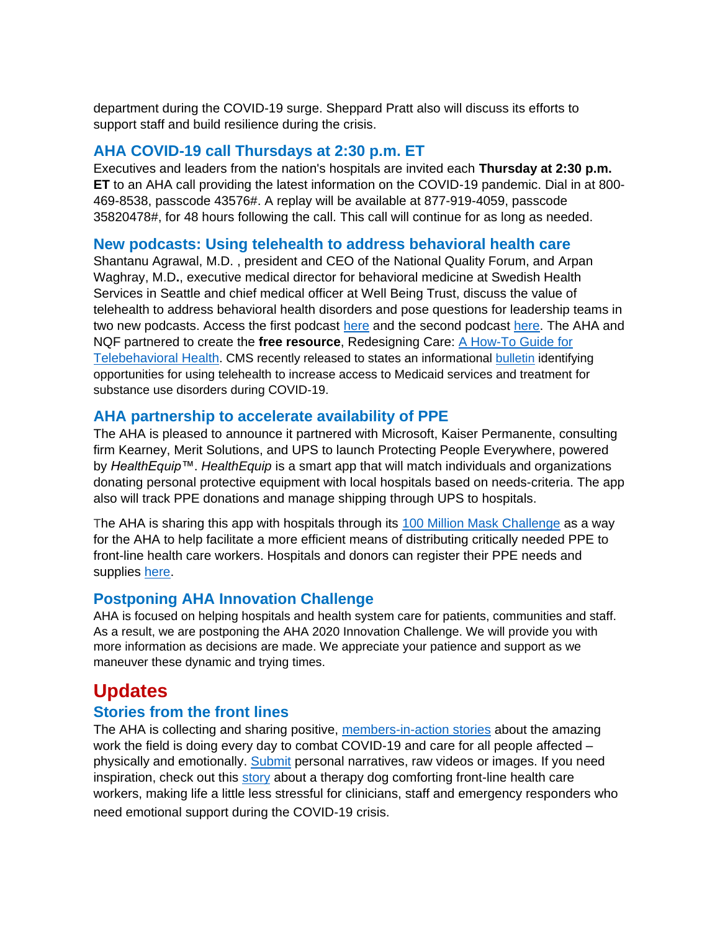department during the COVID-19 surge. Sheppard Pratt also will discuss its efforts to support staff and build resilience during the crisis.

## **AHA COVID-19 call Thursdays at 2:30 p.m. ET**

Executives and leaders from the nation's hospitals are invited each **Thursday at 2:30 p.m. ET** to an AHA call providing the latest information on the COVID-19 pandemic. Dial in at 800- 469-8538, passcode 43576#. A replay will be available at 877-919-4059, passcode 35820478#, for 48 hours following the call. This call will continue for as long as needed.

## **New podcasts: Using telehealth to address behavioral health care**

Shantanu Agrawal, M.D. , president and CEO of the National Quality Forum, and Arpan Waghray, M.D**.**, executive medical director for behavioral medicine at Swedish Health Services in Seattle and chief medical officer at Well Being Trust, discuss the value of telehealth to address behavioral health disorders and pose questions for leadership teams in two new podcasts. Access the first podcast [here](https://nam03.safelinks.protection.outlook.com/?url=http:%2F%2Fwww.mmsend33.com%2Flink.cfm%3Fr%3D0wcfVv1hM69O4HOqcPStJg~~%26pe%3DqWvxaZcjpnWkhXVgSX2FHa4Ko5GJuHN9Hmq5W4eTdwP013owEO6V6B6yGYlNAbPESguAGMy1CITrlHBED1qaCQ~~%26t%3D7oEYv1tppwz5K_C-bTJ9eA~~&data=02%7C01%7Crchickey%40aha.org%7Cc480a759c4c14c1f91f308d7e572f2d4%7Cb9119340beb74e5e84b23cc18f7b36a6%7C0%7C0%7C637230154178310740&sdata=TWOfKo89Q8RK8KRm6LKSNaodj0HEmfQ5lOUIjhaxjks%3D&reserved=0) and the second podcast [here.](https://nam03.safelinks.protection.outlook.com/?url=http:%2F%2Fwww.mmsend33.com%2Flink.cfm%3Fr%3D0wcfVv1hM69O4HOqcPStJg~~%26pe%3DEr6Yth2KefkwzAJp-bpZefZ8O3kSSObGQp4115S-46WeLBbBHy5Lx4k9ZKNLgtmRaau_yOBOfy1xg9_0O29o0Q~~%26t%3D7oEYv1tppwz5K_C-bTJ9eA~~&data=02%7C01%7Crchickey%40aha.org%7Cc480a759c4c14c1f91f308d7e572f2d4%7Cb9119340beb74e5e84b23cc18f7b36a6%7C0%7C0%7C637230154178320734&sdata=NzCA1bRWgGOjj%2B%2BYoSMd8MpPpa0HcWj4mgq1RHKAQeM%3D&reserved=0) The AHA and NQF partnered to create the **free resource**, Redesigning Care: [A How-To Guide for](https://nam03.safelinks.protection.outlook.com/?url=http:%2F%2Fwww.mmsend33.com%2Flink.cfm%3Fr%3D0wcfVv1hM69O4HOqcPStJg~~%26pe%3DfQZdmbuNMByOmlhw-kUCKeOGH2RA0R8Z_g6ADqk1MyI9o53rODNbFn6hdlaDev_lkMJ3LcFdXBUvnO6H1GIZjA~~%26t%3D7oEYv1tppwz5K_C-bTJ9eA~~&data=02%7C01%7Crchickey%40aha.org%7Cc480a759c4c14c1f91f308d7e572f2d4%7Cb9119340beb74e5e84b23cc18f7b36a6%7C0%7C0%7C637230154178320734&sdata=WBf9yY6y0%2FUjRM48iiJ3rWai2vhoLCiEIcCWGRiaZMo%3D&reserved=0)  [Telebehavioral Health](https://nam03.safelinks.protection.outlook.com/?url=http:%2F%2Fwww.mmsend33.com%2Flink.cfm%3Fr%3D0wcfVv1hM69O4HOqcPStJg~~%26pe%3DfQZdmbuNMByOmlhw-kUCKeOGH2RA0R8Z_g6ADqk1MyI9o53rODNbFn6hdlaDev_lkMJ3LcFdXBUvnO6H1GIZjA~~%26t%3D7oEYv1tppwz5K_C-bTJ9eA~~&data=02%7C01%7Crchickey%40aha.org%7Cc480a759c4c14c1f91f308d7e572f2d4%7Cb9119340beb74e5e84b23cc18f7b36a6%7C0%7C0%7C637230154178320734&sdata=WBf9yY6y0%2FUjRM48iiJ3rWai2vhoLCiEIcCWGRiaZMo%3D&reserved=0). CMS recently released to states an informational [bulletin](https://nam03.safelinks.protection.outlook.com/?url=http:%2F%2Fwww.mmsend33.com%2Flink.cfm%3Fr%3D0wcfVv1hM69O4HOqcPStJg~~%26pe%3Dq2TGVpkJt7pPlT4XRaJAGO6pa-PvN5j1Bvqfk650VOibhQAW63g479m7IKW56SHVo_DNZptmiIL5vOGAAWNB2w~~%26t%3D7oEYv1tppwz5K_C-bTJ9eA~~&data=02%7C01%7Crchickey%40aha.org%7Cc480a759c4c14c1f91f308d7e572f2d4%7Cb9119340beb74e5e84b23cc18f7b36a6%7C0%7C0%7C637230154178330727&sdata=o28v%2FLY8jvFbxDS5apXdBFWSmWzR0N0txyMv9WIxoZI%3D&reserved=0) identifying opportunities for using telehealth to increase access to Medicaid services and treatment for substance use disorders during COVID-19.

## **AHA partnership to accelerate availability of PPE**

The AHA is pleased to announce it partnered with Microsoft, Kaiser Permanente, consulting firm Kearney, Merit Solutions, and UPS to launch Protecting People Everywhere, powered by *HealthEquip™*. *HealthEquip* is a smart app that will match individuals and organizations donating personal protective equipment with local hospitals based on needs-criteria. The app also will track PPE donations and manage shipping through UPS to hospitals.

The AHA is sharing this app with hospitals through its [100 Million Mask Challenge](https://nam03.safelinks.protection.outlook.com/?url=http:%2F%2Fwww.mmsend33.com%2Flink.cfm%3Fr%3D0wcfVv1hM69O4HOqcPStJg~~%26pe%3DSLz02dhgMDarDlrpF6VhCU1hs0W3bPAB5uEQpk_g_N3DqP5_QNdl-P-lzi_mr1Zo3z9gPekGnvSOYaFYSKKLIA~~%26t%3D7oEYv1tppwz5K_C-bTJ9eA~~&data=02%7C01%7Crchickey%40aha.org%7Cc480a759c4c14c1f91f308d7e572f2d4%7Cb9119340beb74e5e84b23cc18f7b36a6%7C0%7C0%7C637230154178330727&sdata=8vvn6L6%2BE75Om1QC73hdRodYrYTPL6yQ4Au8TLJ4okE%3D&reserved=0) as a way for the AHA to help facilitate a more efficient means of distributing critically needed PPE to front-line health care workers. Hospitals and donors can register their PPE needs and supplies [here.](https://nam03.safelinks.protection.outlook.com/?url=http:%2F%2Fwww.mmsend33.com%2Flink.cfm%3Fr%3D0wcfVv1hM69O4HOqcPStJg~~%26pe%3D6tmPCYbn3AbL90CzSOnP9Mg53OzY6tMvT6kUp8Xr8z7WB6X0VEOfV5W0WmMN1YDJftrZx-sSg47rCXbxlxVAfA~~%26t%3D7oEYv1tppwz5K_C-bTJ9eA~~&data=02%7C01%7Crchickey%40aha.org%7Cc480a759c4c14c1f91f308d7e572f2d4%7Cb9119340beb74e5e84b23cc18f7b36a6%7C0%7C0%7C637230154178340723&sdata=sm9HZf0T4aC5R7I4lcrzKKTzbdRIXXmCmimu1pnRrJs%3D&reserved=0)

## **Postponing AHA Innovation Challenge**

AHA is focused on helping hospitals and health system care for patients, communities and staff. As a result, we are postponing the AHA 2020 Innovation Challenge. We will provide you with more information as decisions are made. We appreciate your patience and support as we maneuver these dynamic and trying times.

## **Updates**

## **Stories from the front lines**

The AHA is collecting and sharing positive, [members-in-action stories](https://nam03.safelinks.protection.outlook.com/?url=http:%2F%2Fwww.mmsend33.com%2Flink.cfm%3Fr%3D0wcfVv1hM69O4HOqcPStJg~~%26pe%3Dw_JG2VmeWhID_b2D2lLGn0TbaBnWtXpl2mYEiVjKcLT8ebhQV3AFn_33pPjLqF5fElrhPWFMJQTmEwqcrneW2A~~%26t%3D7oEYv1tppwz5K_C-bTJ9eA~~&data=02%7C01%7Crchickey%40aha.org%7Cc480a759c4c14c1f91f308d7e572f2d4%7Cb9119340beb74e5e84b23cc18f7b36a6%7C0%7C0%7C637230154178340723&sdata=uWEmCaLOa2vK2%2FTxs5soUhfyq0DV5p%2BnjECROUv1zs8%3D&reserved=0) about the amazing work the field is doing every day to combat COVID-19 and care for all people affected – physically and emotionally. [Submit](https://nam03.safelinks.protection.outlook.com/?url=http:%2F%2Fwww.mmsend33.com%2Flink.cfm%3Fr%3D0wcfVv1hM69O4HOqcPStJg~~%26pe%3DT0wfKs5jIdD0xdF14YBbeJ9_rLZ185bJUDqViJl2876VkSmAlLEQcTeHVfheaVLkOWOzFtS9upjhMbxBjqkxOQ~~%26t%3D7oEYv1tppwz5K_C-bTJ9eA~~&data=02%7C01%7Crchickey%40aha.org%7Cc480a759c4c14c1f91f308d7e572f2d4%7Cb9119340beb74e5e84b23cc18f7b36a6%7C0%7C0%7C637230154178350721&sdata=LBqkei1Jpn0kLGlEykDoVL2Vra%2Bk%2Ffm%2BcqUGCCGArFo%3D&reserved=0) personal narratives, raw videos or images. If you need inspiration, check out this [story](https://nam03.safelinks.protection.outlook.com/?url=http:%2F%2Fwww.mmsend33.com%2Flink.cfm%3Fr%3D0wcfVv1hM69O4HOqcPStJg~~%26pe%3Db9UzB8-Tb1-6DZBSx94SJzLNnk411L6LyMuboCnMCGWa-NlB0_1YJ2Qb20RGhuUbKydO4iCsxkd0I-oBhGHFTg~~%26t%3D7oEYv1tppwz5K_C-bTJ9eA~~&data=02%7C01%7Crchickey%40aha.org%7Cc480a759c4c14c1f91f308d7e572f2d4%7Cb9119340beb74e5e84b23cc18f7b36a6%7C0%7C0%7C637230154178350721&sdata=sG2Lszz3dTwQmhrvz0b%2FwkKrjo0jFmBnSLBknk3lZVE%3D&reserved=0) about a therapy dog comforting front-line health care workers, making life a little less stressful for clinicians, staff and emergency responders who need emotional support during the COVID-19 crisis.